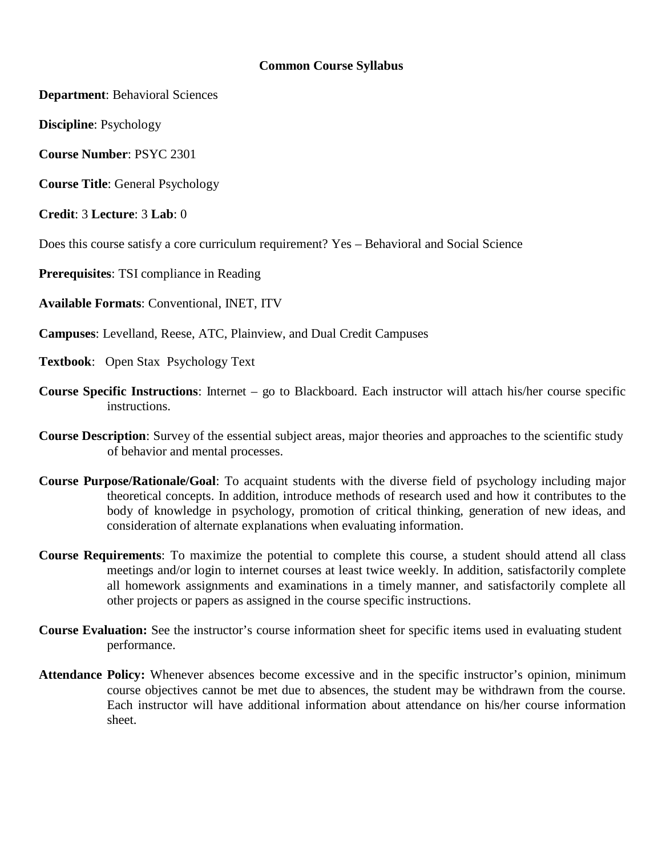#### **Common Course Syllabus**

**Department**: Behavioral Sciences

**Discipline**: Psychology

**Course Number**: PSYC 2301

**Course Title**: General Psychology

**Credit**: 3 **Lecture**: 3 **Lab**: 0

Does this course satisfy a core curriculum requirement? Yes – Behavioral and Social Science

**Prerequisites**: TSI compliance in Reading

**Available Formats**: Conventional, INET, ITV

**Campuses**: Levelland, Reese, ATC, Plainview, and Dual Credit Campuses

**Textbook**: Open Stax Psychology Text

- **Course Specific Instructions**: Internet go to Blackboard. Each instructor will attach his/her course specific instructions.
- **Course Description**: Survey of the essential subject areas, major theories and approaches to the scientific study of behavior and mental processes.
- **Course Purpose/Rationale/Goal**: To acquaint students with the diverse field of psychology including major theoretical concepts. In addition, introduce methods of research used and how it contributes to the body of knowledge in psychology, promotion of critical thinking, generation of new ideas, and consideration of alternate explanations when evaluating information.
- **Course Requirements**: To maximize the potential to complete this course, a student should attend all class meetings and/or login to internet courses at least twice weekly. In addition, satisfactorily complete all homework assignments and examinations in a timely manner, and satisfactorily complete all other projects or papers as assigned in the course specific instructions.
- **Course Evaluation:** See the instructor's course information sheet for specific items used in evaluating student performance.
- **Attendance Policy:** Whenever absences become excessive and in the specific instructor's opinion, minimum course objectives cannot be met due to absences, the student may be withdrawn from the course. Each instructor will have additional information about attendance on his/her course information sheet.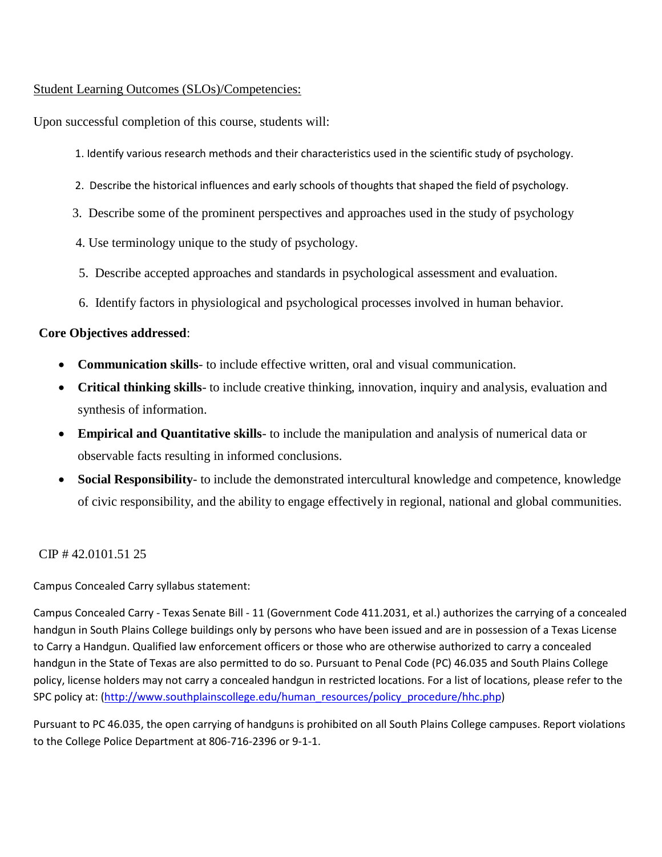## Student Learning Outcomes (SLOs)/Competencies:

Upon successful completion of this course, students will:

- 1. Identify various research methods and their characteristics used in the scientific study of psychology.
- 2. Describe the historical influences and early schools of thoughts that shaped the field of psychology.
- 3. Describe some of the prominent perspectives and approaches used in the study of psychology
- 4. Use terminology unique to the study of psychology.
- 5. Describe accepted approaches and standards in psychological assessment and evaluation.
- 6. Identify factors in physiological and psychological processes involved in human behavior.

## **Core Objectives addressed**:

- **Communication skills** to include effective written, oral and visual communication.
- **Critical thinking skills** to include creative thinking, innovation, inquiry and analysis, evaluation and synthesis of information.
- **Empirical and Quantitative skills** to include the manipulation and analysis of numerical data or observable facts resulting in informed conclusions.
- **Social Responsibility** to include the demonstrated intercultural knowledge and competence, knowledge of civic responsibility, and the ability to engage effectively in regional, national and global communities.

# CIP # 42.0101.51 25

Campus Concealed Carry syllabus statement:

Campus Concealed Carry - Texas Senate Bill - 11 (Government Code 411.2031, et al.) authorizes the carrying of a concealed handgun in South Plains College buildings only by persons who have been issued and are in possession of a Texas License to Carry a Handgun. Qualified law enforcement officers or those who are otherwise authorized to carry a concealed handgun in the State of Texas are also permitted to do so. Pursuant to Penal Code (PC) 46.035 and South Plains College policy, license holders may not carry a concealed handgun in restricted locations. For a list of locations, please refer to the SPC policy at: [\(http://www.southplainscollege.edu/human\\_resources/policy\\_procedure/hhc.php\)](http://www.southplainscollege.edu/human_resources/policy_procedure/hhc.php)

Pursuant to PC 46.035, the open carrying of handguns is prohibited on all South Plains College campuses. Report violations to the College Police Department at 806-716-2396 or 9-1-1.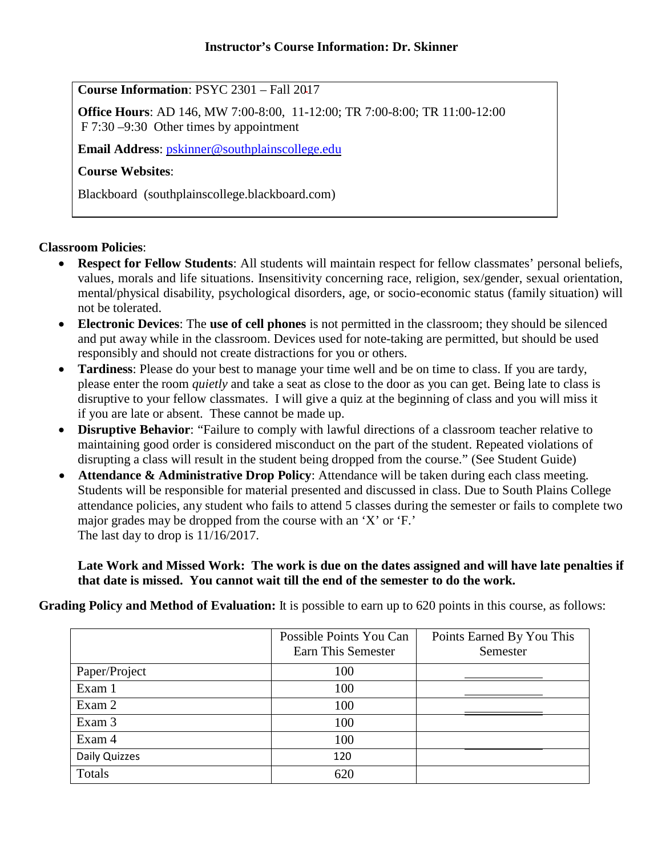## **Course Information**: PSYC 2301 – Fall 2017

**Office Hours**: AD 146, MW 7:00-8:00, 11-12:00; TR 7:00-8:00; TR 11:00-12:00 F 7:30 –9:30 Other times by appointment

**Email Address**: [pskinner@southplainscollege.edu](mailto:pskinner@southplainscollege.edu)

# **Course Websites**:

Blackboard (southplainscollege.blackboard.com)

## **Classroom Policies**:

- **Respect for Fellow Students**: All students will maintain respect for fellow classmates' personal beliefs, values, morals and life situations. Insensitivity concerning race, religion, sex/gender, sexual orientation, mental/physical disability, psychological disorders, age, or socio-economic status (family situation) will not be tolerated.
- **Electronic Devices**: The **use of cell phones** is not permitted in the classroom; they should be silenced and put away while in the classroom. Devices used for note-taking are permitted, but should be used responsibly and should not create distractions for you or others.
- **Tardiness**: Please do your best to manage your time well and be on time to class. If you are tardy, please enter the room *quietly* and take a seat as close to the door as you can get. Being late to class is disruptive to your fellow classmates. I will give a quiz at the beginning of class and you will miss it if you are late or absent. These cannot be made up.
- **Disruptive Behavior**: "Failure to comply with lawful directions of a classroom teacher relative to maintaining good order is considered misconduct on the part of the student. Repeated violations of disrupting a class will result in the student being dropped from the course." (See Student Guide)
- **Attendance & Administrative Drop Policy**: Attendance will be taken during each class meeting. Students will be responsible for material presented and discussed in class. Due to South Plains College attendance policies, any student who fails to attend 5 classes during the semester or fails to complete two major grades may be dropped from the course with an 'X' or 'F.' The last day to drop is 11/16/2017.

**Late Work and Missed Work: The work is due on the dates assigned and will have late penalties if that date is missed. You cannot wait till the end of the semester to do the work.** 

**Grading Policy and Method of Evaluation:** It is possible to earn up to 620 points in this course, as follows:

|               | Possible Points You Can<br>Earn This Semester | Points Earned By You This<br>Semester |
|---------------|-----------------------------------------------|---------------------------------------|
| Paper/Project | 100                                           |                                       |
| Exam 1        | 100                                           |                                       |
| Exam 2        | 100                                           |                                       |
| Exam 3        | 100                                           |                                       |
| Exam 4        | 100                                           |                                       |
| Daily Quizzes | 120                                           |                                       |
| Totals        | 620                                           |                                       |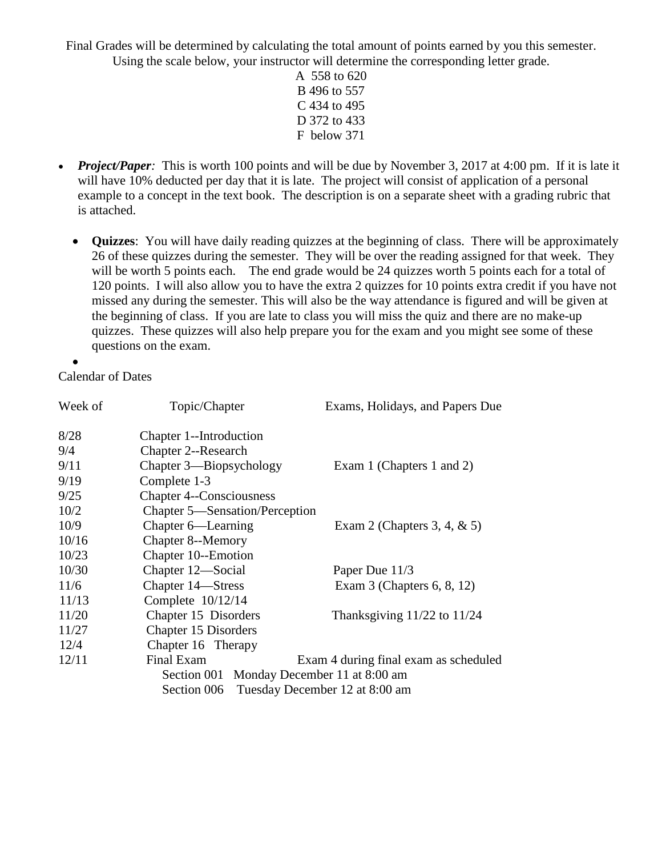Final Grades will be determined by calculating the total amount of points earned by you this semester. Using the scale below, your instructor will determine the corresponding letter grade.

- A 558 to 620 B 496 to 557 C 434 to 495 D 372 to 433 F below 371
- *Project/Paper*: This is worth 100 points and will be due by November 3, 2017 at 4:00 pm. If it is late it will have 10% deducted per day that it is late. The project will consist of application of a personal example to a concept in the text book. The description is on a separate sheet with a grading rubric that is attached.
	- **Quizzes**: You will have daily reading quizzes at the beginning of class. There will be approximately 26 of these quizzes during the semester. They will be over the reading assigned for that week. They will be worth 5 points each. The end grade would be 24 quizzes worth 5 points each for a total of 120 points. I will also allow you to have the extra 2 quizzes for 10 points extra credit if you have not missed any during the semester. This will also be the way attendance is figured and will be given at the beginning of class. If you are late to class you will miss the quiz and there are no make-up quizzes. These quizzes will also help prepare you for the exam and you might see some of these questions on the exam.

•

Calendar of Dates

| Week of                                   | Topic/Chapter                              | Exams, Holidays, and Papers Due       |  |
|-------------------------------------------|--------------------------------------------|---------------------------------------|--|
| 8/28                                      | Chapter 1--Introduction                    |                                       |  |
| 9/4                                       | <b>Chapter 2--Research</b>                 |                                       |  |
| 9/11                                      | Chapter 3—Biopsychology                    | Exam 1 (Chapters 1 and 2)             |  |
| 9/19                                      | Complete 1-3                               |                                       |  |
| 9/25                                      | <b>Chapter 4--Consciousness</b>            |                                       |  |
| 10/2                                      | Chapter 5—Sensation/Perception             |                                       |  |
| 10/9                                      | Chapter 6—Learning                         | Exam 2 (Chapters 3, 4, $\&$ 5)        |  |
| 10/16                                     | <b>Chapter 8--Memory</b>                   |                                       |  |
| 10/23                                     | Chapter 10--Emotion                        |                                       |  |
| 10/30                                     | Chapter 12—Social                          | Paper Due 11/3                        |  |
| 11/6                                      | Chapter 14—Stress                          | Exam $3$ (Chapters 6, 8, 12)          |  |
| 11/13                                     | Complete $10/12/14$                        |                                       |  |
| 11/20                                     | Chapter 15 Disorders                       | Thanksgiving $11/22$ to $11/24$       |  |
| 11/27                                     | Chapter 15 Disorders                       |                                       |  |
| 12/4                                      | Chapter 16 Therapy                         |                                       |  |
| 12/11                                     | Final Exam                                 | Exam 4 during final exam as scheduled |  |
| Section 001 Monday December 11 at 8:00 am |                                            |                                       |  |
|                                           | Section 006 Tuesday December 12 at 8:00 am |                                       |  |